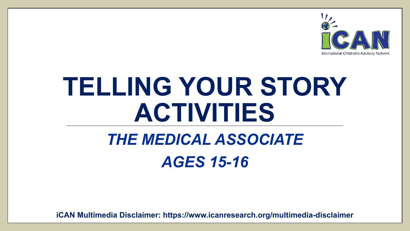

# **TELLING YOUR STORY ACTIVITIES**

## *THE MEDICAL ASSOCIATE AGES 15-16*

**iCAN Multimedia Disclaimer: https://www.icanresearch.org/multimedia-disclaimer**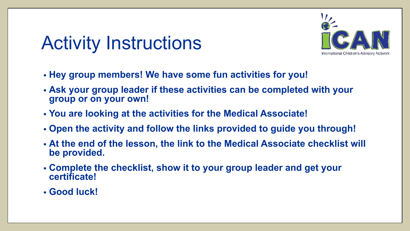## Activity Instructions



- **• Hey group members! We have some fun activities for you!**
- **• Ask your group leader if these activities can be completed with your group or on your own!**
- **• You are looking at the activities for the Medical Associate!**
- **• Open the activity and follow the links provided to guide you through!**
- **• At the end of the lesson, the link to the Medical Associate checklist will be provided.**
- **• Complete the checklist, show it to your group leader and get your certificate!**
- **• Good luck!**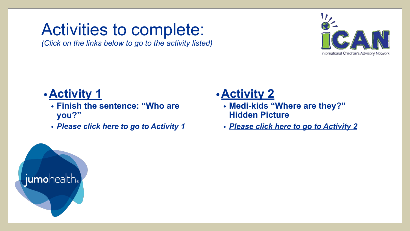### <span id="page-2-0"></span>Activities to complete:

*(Click on the links below to go to the activity listed)*



#### **•Activity 1**

- **• Finish the sentence: "Who are you?"**
- *• [Please click here to go to Activity](#page-3-0) 1*

#### **•Activity 2**

- **• Medi-kids "Where are they?" Hidden Picture**
- *• [Please click here to go to Activity](#page-4-0) 2*

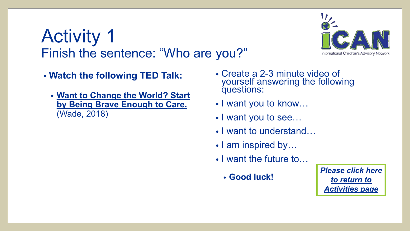### <span id="page-3-0"></span>Activity 1 Finish the sentence: "Who are you?"



- **• Watch the following TED Talk:**
	- **• [Want to Change the World? Start](https://youtu.be/yg8SBuTuoKk) [by Being Brave Enough to Care.](https://youtu.be/yg8SBuTuoKk)** (Wade, 2018)
- Create a 2-3 minute video of yourself answering the following questions:
- I want you to know…
- I want you to see…
- I want to understand...
- I am inspired by...
- I want the future to...
	- **• Good luck!**

*[Please click here](#page-2-0) [to return to](#page-2-0) [Activities page](#page-2-0)*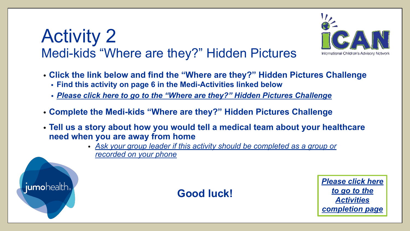### <span id="page-4-0"></span>Activity 2 Medi-kids "Where are they?" Hidden Pictures



- **• Click the link below and find the "Where are they?" Hidden Pictures Challenge**
	- **• Find this activity on page 6 in the Medi-Activities linked below**
	- *• [Please click here to go to the "Where are they?" Hidden Pictures Challenge](https://www.icanresearch.org/_files/ugd/df726f_35617d8416a34d8185924ef1db4e34c3.pdf)*
- **• Complete the Medi-kids "Where are they?" Hidden Pictures Challenge**
- **• Tell us a story about how you would tell a medical team about your healthcare need when you are away from home**
	- *• Ask your group leader if this activity should be completed as a group or recorded on your phone*



**Good luck!**

*[Please click here](#page-5-0) [to go to the](#page-5-0) [Activities](#page-5-0) [completion page](#page-5-0)*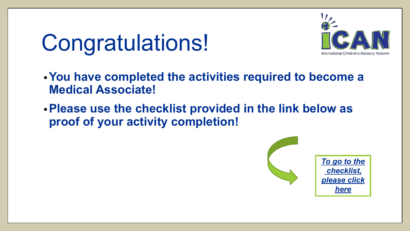# <span id="page-5-0"></span>Congratulations!



- **•You have completed the activities required to become a Medical Associate!**
- **•Please use the checklist provided in the link below as proof of your activity completion!**